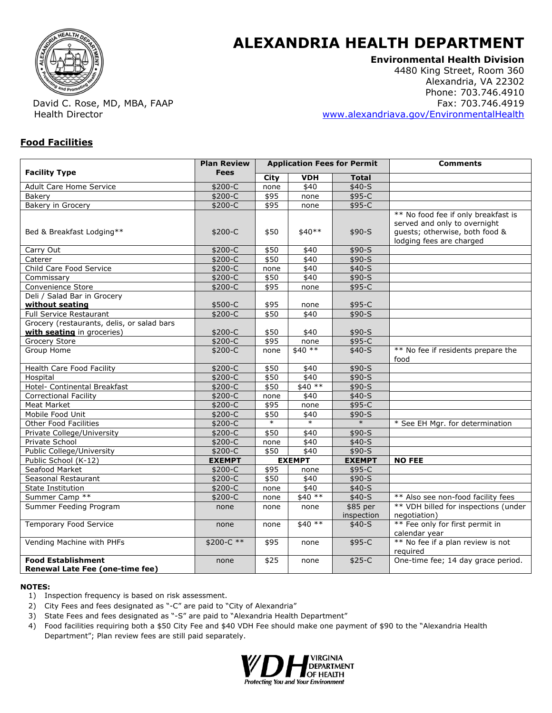

# **ALEXANDRIA HEALTH DEPARTMENT**

## **Environmental Health Division**

4480 King Street, Room 360 Alexandria, VA 22302 Phone: 703.746.4910 Fax: 703.746.4919 www.alexandriava.gov/EnvironmentalHealth

David C. Rose, MD, MBA, FAAP Health Director

#### **Food Facilities**

| <b>Plan Review</b><br><b>Application Fees for Permit</b>                 |               |             |               |                        | <b>Comments</b>                                                                                                                   |  |
|--------------------------------------------------------------------------|---------------|-------------|---------------|------------------------|-----------------------------------------------------------------------------------------------------------------------------------|--|
| <b>Facility Type</b>                                                     | <b>Fees</b>   | <b>City</b> | <b>VDH</b>    | <b>Total</b>           |                                                                                                                                   |  |
| Adult Care Home Service                                                  | \$200-C       | none        | \$40          | $$40-S$                |                                                                                                                                   |  |
| <b>Bakery</b>                                                            | $$200-C$      | \$95        | none          | $$95-C$                |                                                                                                                                   |  |
| <b>Bakery in Grocery</b>                                                 | $$200-C$      | \$95        | none          | $$95-C$                |                                                                                                                                   |  |
| Bed & Breakfast Lodging**                                                | \$200-C       | \$50        | \$40**        | $$90-S$                | ** No food fee if only breakfast is<br>served and only to overnight<br>guests; otherwise, both food &<br>lodging fees are charged |  |
| Carry Out                                                                | $$200-C$      | \$50        | \$40          | $$90-S$                |                                                                                                                                   |  |
| Caterer                                                                  | $$200-C$      | \$50        | \$40          | $$90-S$                |                                                                                                                                   |  |
| Child Care Food Service                                                  | $$200-C$      | none        | \$40          | $$40-S$                |                                                                                                                                   |  |
| Commissary                                                               | $$200-C$      | \$50        | \$40          | $$90-S$                |                                                                                                                                   |  |
| Convenience Store                                                        | $$200-C$      | \$95        | none          | $$95-C$                |                                                                                                                                   |  |
| Deli / Salad Bar in Grocery<br>without seating                           | \$500-C       | \$95        | none          | \$95-C                 |                                                                                                                                   |  |
| <b>Full Service Restaurant</b>                                           | \$200-C       | \$50        | \$40          | $$90-S$                |                                                                                                                                   |  |
| Grocery (restaurants, delis, or salad bars<br>with seating in groceries) | $$200-C$      | \$50        | \$40          | $$90-S$                |                                                                                                                                   |  |
| Grocery Store                                                            | \$200-C       | \$95        | none          | \$95-C                 |                                                                                                                                   |  |
| Group Home                                                               | \$200-C       | none        | $$40**$       | $$40-S$                | ** No fee if residents prepare the<br>food                                                                                        |  |
| <b>Health Care Food Facility</b>                                         | \$200-C       | \$50        | \$40          | $$90-S$                |                                                                                                                                   |  |
| Hospital                                                                 | $$200-C$      | \$50        | \$40          | $$90-S$                |                                                                                                                                   |  |
| Hotel- Continental Breakfast                                             | $$200-C$      | \$50        | $$40**$       | $$90-S$                |                                                                                                                                   |  |
| <b>Correctional Facility</b>                                             | $$200-C$      | none        | \$40          | $$40-S$                |                                                                                                                                   |  |
| <b>Meat Market</b>                                                       | $$200-C$      | \$95        | none          | $$95-C$                |                                                                                                                                   |  |
| Mobile Food Unit                                                         | $$200-C$      | \$50        | \$40          | \$90-S                 |                                                                                                                                   |  |
| <b>Other Food Facilities</b>                                             | \$200-C       | $\ast$      | $\ast$        | $\ast$                 | * See EH Mgr. for determination                                                                                                   |  |
| Private College/University                                               | \$200-C       | \$50        | \$40          | $$90-S$                |                                                                                                                                   |  |
| Private School                                                           | \$200-C       | none        | \$40          | $$40-S$                |                                                                                                                                   |  |
| <b>Public College/University</b>                                         | $$200-C$      | \$50        | \$40          | $$90-S$                |                                                                                                                                   |  |
| Public School (K-12)                                                     | <b>EXEMPT</b> |             | <b>EXEMPT</b> | <b>EXEMPT</b>          | <b>NO FEE</b>                                                                                                                     |  |
| Seafood Market                                                           | $$200-C$      | \$95        | none          | $$95-C$                |                                                                                                                                   |  |
| Seasonal Restaurant                                                      | \$200-C       | \$50        | \$40          | $$90-S$                |                                                                                                                                   |  |
| State Institution                                                        | $$200-C$      | none        | \$40          | $$40-S$                |                                                                                                                                   |  |
| Summer Camp **                                                           | $$200-C$      | none        | $$40**$       | $$40-S$                | ** Also see non-food facility fees                                                                                                |  |
| Summer Feeding Program                                                   | none          | none        | none          | \$85 per<br>inspection | ** VDH billed for inspections (under<br>negotiation)                                                                              |  |
| <b>Temporary Food Service</b>                                            | none          | none        | $$40**$       | $$40-S$                | ** Fee only for first permit in<br>calendar year                                                                                  |  |
| Vending Machine with PHFs                                                | $$200-C **$   | \$95        | none          | $$95-C$                | ** No fee if a plan review is not<br>required                                                                                     |  |
| <b>Food Establishment</b><br><b>Renewal Late Fee (one-time fee)</b>      | none          | \$25        | none          | $$25-C$                | One-time fee; 14 day grace period.                                                                                                |  |

#### **NOTES:**

- 1) Inspection frequency is based on risk assessment.
- 2) City Fees and fees designated as "-C" are paid to "City of Alexandria"
- 3) State Fees and fees designated as "-S" are paid to "Alexandria Health Department"
- 4) Food facilities requiring both a \$50 City Fee and \$40 VDH Fee should make one payment of \$90 to the "Alexandria Health Department"; Plan review fees are still paid separately.